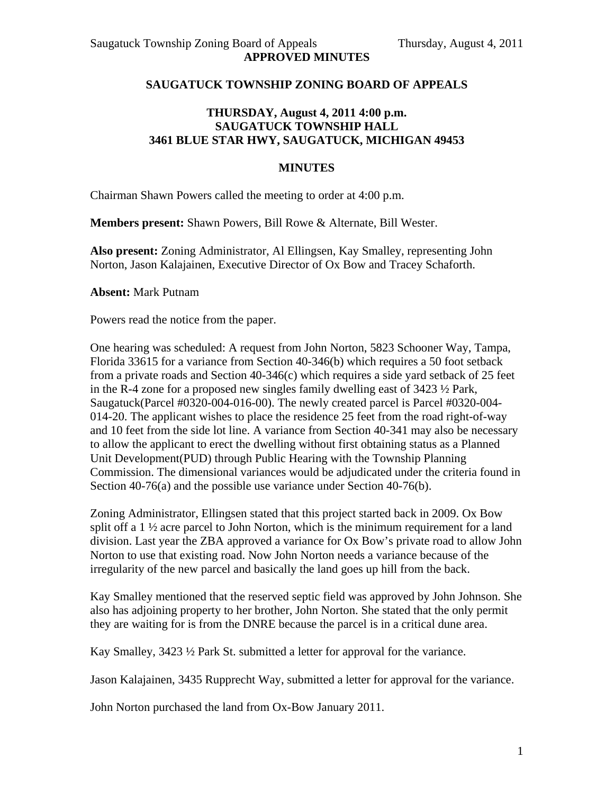## **SAUGATUCK TOWNSHIP ZONING BOARD OF APPEALS**

## **THURSDAY, August 4, 2011 4:00 p.m. SAUGATUCK TOWNSHIP HALL 3461 BLUE STAR HWY, SAUGATUCK, MICHIGAN 49453**

## **MINUTES**

Chairman Shawn Powers called the meeting to order at 4:00 p.m.

**Members present:** Shawn Powers, Bill Rowe & Alternate, Bill Wester.

**Also present:** Zoning Administrator, Al Ellingsen, Kay Smalley, representing John Norton, Jason Kalajainen, Executive Director of Ox Bow and Tracey Schaforth.

**Absent:** Mark Putnam

Powers read the notice from the paper.

One hearing was scheduled: A request from John Norton, 5823 Schooner Way, Tampa, Florida 33615 for a variance from Section 40-346(b) which requires a 50 foot setback from a private roads and Section 40-346(c) which requires a side yard setback of 25 feet in the R-4 zone for a proposed new singles family dwelling east of  $3423\frac{1}{2}$  Park, Saugatuck(Parcel #0320-004-016-00). The newly created parcel is Parcel #0320-004- 014-20. The applicant wishes to place the residence 25 feet from the road right-of-way and 10 feet from the side lot line. A variance from Section 40-341 may also be necessary to allow the applicant to erect the dwelling without first obtaining status as a Planned Unit Development(PUD) through Public Hearing with the Township Planning Commission. The dimensional variances would be adjudicated under the criteria found in Section 40-76(a) and the possible use variance under Section 40-76(b).

Zoning Administrator, Ellingsen stated that this project started back in 2009. Ox Bow split off a  $1\frac{1}{2}$  acre parcel to John Norton, which is the minimum requirement for a land division. Last year the ZBA approved a variance for Ox Bow's private road to allow John Norton to use that existing road. Now John Norton needs a variance because of the irregularity of the new parcel and basically the land goes up hill from the back.

Kay Smalley mentioned that the reserved septic field was approved by John Johnson. She also has adjoining property to her brother, John Norton. She stated that the only permit they are waiting for is from the DNRE because the parcel is in a critical dune area.

Kay Smalley, 3423 ½ Park St. submitted a letter for approval for the variance.

Jason Kalajainen, 3435 Rupprecht Way, submitted a letter for approval for the variance.

John Norton purchased the land from Ox-Bow January 2011.